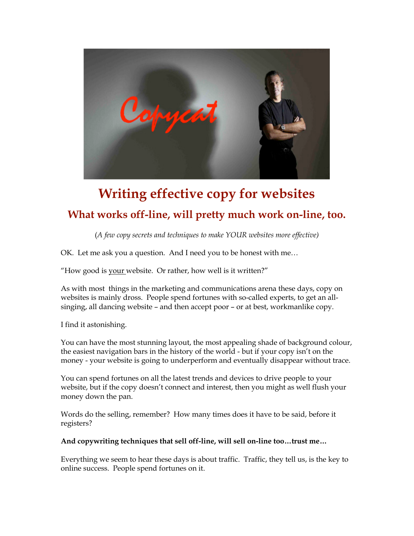

# **Writing effective copy for websites What works off-line, will pretty much work on-line, too.**

(*A few copy secrets and techniques to make YOUR websites more effective)*

OK. Let me ask you a question. And I need you to be honest with me…

"How good is your website. Or rather, how well is it written?"

As with most things in the marketing and communications arena these days, copy on websites is mainly dross. People spend fortunes with so-called experts, to get an allsinging, all dancing website – and then accept poor – or at best, workmanlike copy.

I find it astonishing.

You can have the most stunning layout, the most appealing shade of background colour, the easiest navigation bars in the history of the world - but if your copy isn't on the money - your website is going to underperform and eventually disappear without trace.

You can spend fortunes on all the latest trends and devices to drive people to your website, but if the copy doesn't connect and interest, then you might as well flush your money down the pan.

Words do the selling, remember? How many times does it have to be said, before it registers?

# **And copywriting techniques that sell off-line, will sell on-line too…trust me…**

Everything we seem to hear these days is about traffic. Traffic, they tell us, is the key to online success. People spend fortunes on it.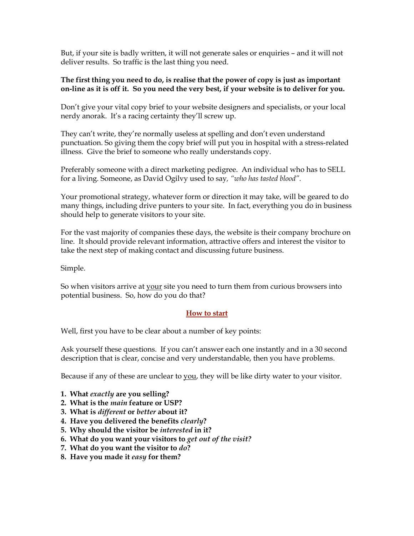But, if your site is badly written, it will not generate sales or enquiries – and it will not deliver results. So traffic is the last thing you need.

# **The first thing you need to do, is realise that the power of copy is just as important on-line as it is off it. So you need the very best, if your website is to deliver for you.**

Don't give your vital copy brief to your website designers and specialists, or your local nerdy anorak. It's a racing certainty they'll screw up.

They can't write, they're normally useless at spelling and don't even understand punctuation. So giving them the copy brief will put you in hospital with a stress-related illness. Give the brief to someone who really understands copy.

Preferably someone with a direct marketing pedigree. An individual who has to SELL for a living. Someone, as David Ogilvy used to say*, "who has tasted blood".*

Your promotional strategy, whatever form or direction it may take, will be geared to do many things, including drive punters to your site. In fact, everything you do in business should help to generate visitors to your site.

For the vast majority of companies these days, the website is their company brochure on line. It should provide relevant information, attractive offers and interest the visitor to take the next step of making contact and discussing future business.

Simple.

So when visitors arrive at your site you need to turn them from curious browsers into potential business. So, how do you do that?

# **How to start**

Well, first you have to be clear about a number of key points:

Ask yourself these questions. If you can't answer each one instantly and in a 30 second description that is clear, concise and very understandable, then you have problems.

Because if any of these are unclear to you, they will be like dirty water to your visitor.

- **1. What** *exactly* **are you selling?**
- **2. What is the** *main* **feature or USP?**
- **3. What is** *different* **or** *better* **about it?**
- **4. Have you delivered the benefits** *clearly***?**
- **5. Why should the visitor be** *interested* **in it?**
- **6. What do you want your visitors to** *get out of the visit?*
- **7. What do you want the visitor to** *do***?**
- **8. Have you made it** *easy* **for them?**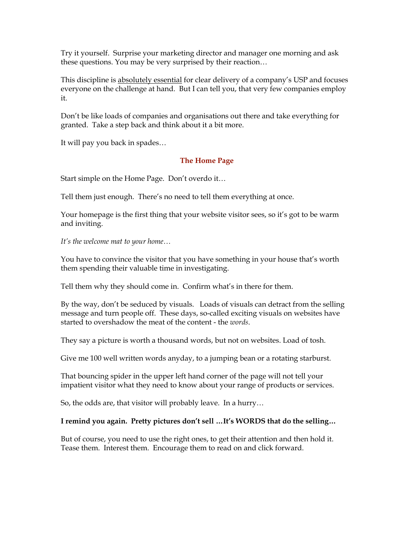Try it yourself. Surprise your marketing director and manager one morning and ask these questions. You may be very surprised by their reaction…

This discipline is absolutely essential for clear delivery of a company's USP and focuses everyone on the challenge at hand. But I can tell you, that very few companies employ it.

Don't be like loads of companies and organisations out there and take everything for granted. Take a step back and think about it a bit more.

It will pay you back in spades…

# **The Home Page**

Start simple on the Home Page. Don't overdo it…

Tell them just enough. There's no need to tell them everything at once.

Your homepage is the first thing that your website visitor sees, so it's got to be warm and inviting.

*It's the welcome mat to your home…*

You have to convince the visitor that you have something in your house that's worth them spending their valuable time in investigating.

Tell them why they should come in. Confirm what's in there for them.

By the way, don't be seduced by visuals. Loads of visuals can detract from the selling message and turn people off. These days, so-called exciting visuals on websites have started to overshadow the meat of the content - the *words*.

They say a picture is worth a thousand words, but not on websites. Load of tosh.

Give me 100 well written words anyday, to a jumping bean or a rotating starburst.

That bouncing spider in the upper left hand corner of the page will not tell your impatient visitor what they need to know about your range of products or services.

So, the odds are, that visitor will probably leave. In a hurry…

# **I remind you again. Pretty pictures don't sell …It's WORDS that do the selling…**

But of course, you need to use the right ones, to get their attention and then hold it. Tease them. Interest them. Encourage them to read on and click forward.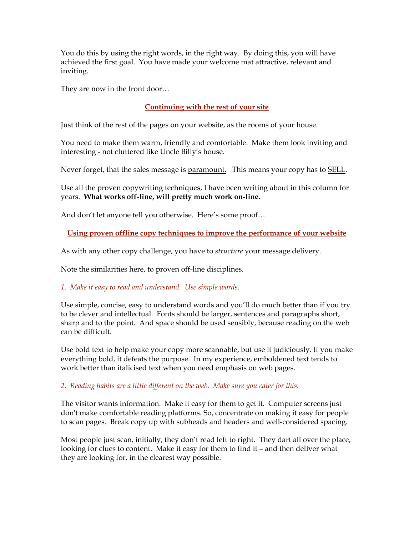You do this by using the right words, in the right way. By doing this, you will have achieved the first goal. You have made your welcome mat attractive, relevant and inviting.

They are now in the front door…

# **Continuing with the rest of your site**

Just think of the rest of the pages on your website, as the rooms of your house.

You need to make them warm, friendly and comfortable. Make them look inviting and interesting - not cluttered like Uncle Billy's house.

Never forget, that the sales message is paramount. This means your copy has to SELL.

Use all the proven copywriting techniques, I have been writing about in this column for years. **What works off-line, will pretty much work on-line.**

And don't let anyone tell you otherwise. Here's some proof...

**Using proven offline copy techniques to improve the performance of your website**

As with any other copy challenge, you have to *structure* your message delivery.

Note the similarities here, to proven off-line disciplines.

*1. Make it easy to read and understand. Use simple words.*

Use simple, concise, easy to understand words and you'll do much better than if you try to be clever and intellectual. Fonts should be larger, sentences and paragraphs short, sharp and to the point. And space should be used sensibly, because reading on the web can be difficult.

Use bold text to help make your copy more scannable, but use it judiciously. If you make everything bold, it defeats the purpose. In my experience, emboldened text tends to work better than italicised text when you need emphasis on web pages.

*2. Reading habits are a little different on the web. Make sure you cater for this.*

The visitor wants information. Make it easy for them to get it. Computer screens just don't make comfortable reading platforms. So, concentrate on making it easy for people to scan pages. Break copy up with subheads and headers and well-considered spacing.

Most people just scan, initially, they don't read left to right. They dart all over the place, looking for clues to content. Make it easy for them to find it – and then deliver what they are looking for, in the clearest way possible.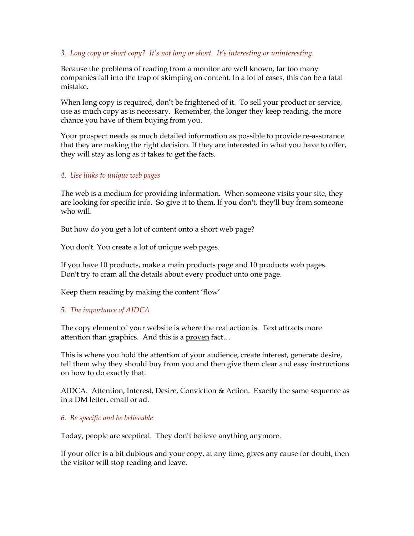#### *3. Long copy or short copy? It's not long or short. It's interesting or uninteresting.*

Because the problems of reading from a monitor are well known, far too many companies fall into the trap of skimping on content. In a lot of cases, this can be a fatal mistake.

When long copy is required, don't be frightened of it. To sell your product or service, use as much copy as is necessary. Remember, the longer they keep reading, the more chance you have of them buying from you.

Your prospect needs as much detailed information as possible to provide re-assurance that they are making the right decision. If they are interested in what you have to offer, they will stay as long as it takes to get the facts.

#### *4. Use links to unique web pages*

The web is a medium for providing information. When someone visits your site, they are looking for specific info. So give it to them. If you don't, they'll buy from someone who will.

But how do you get a lot of content onto a short web page?

You don't. You create a lot of unique web pages.

If you have 10 products, make a main products page and 10 products web pages. Don't try to cram all the details about every product onto one page.

Keep them reading by making the content 'flow'

# *5. The importance of AIDCA*

The copy element of your website is where the real action is. Text attracts more attention than graphics. And this is a proven fact...

This is where you hold the attention of your audience, create interest, generate desire, tell them why they should buy from you and then give them clear and easy instructions on how to do exactly that.

AIDCA. Attention, Interest, Desire, Conviction & Action. Exactly the same sequence as in a DM letter, email or ad.

#### *6. Be specific and be believable*

Today, people are sceptical. They don't believe anything anymore.

If your offer is a bit dubious and your copy, at any time, gives any cause for doubt, then the visitor will stop reading and leave.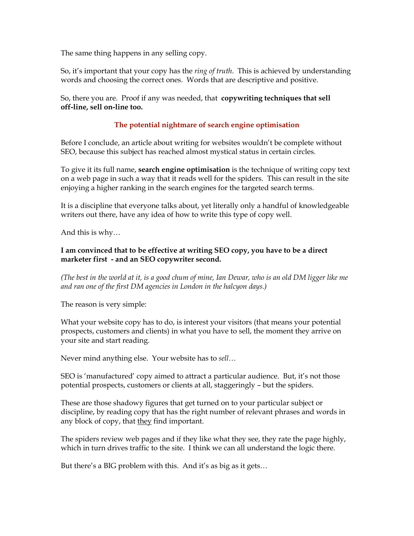The same thing happens in any selling copy.

So, it's important that your copy has the *ring of truth*. This is achieved by understanding words and choosing the correct ones. Words that are descriptive and positive.

So, there you are. Proof if any was needed, that **copywriting techniques that sell off-line, sell on-line too.**

# **The potential nightmare of search engine optimisation**

Before I conclude, an article about writing for websites wouldn't be complete without SEO, because this subject has reached almost mystical status in certain circles.

To give it its full name, **search engine optimisation** is the technique of writing copy text on a web page in such a way that it reads well for the spiders. This can result in the site enjoying a higher ranking in the search engines for the targeted search terms.

It is a discipline that everyone talks about, yet literally only a handful of knowledgeable writers out there, have any idea of how to write this type of copy well.

And this is why…

# **I am convinced that to be effective at writing SEO copy, you have to be a direct marketer first - and an SEO copywriter second.**

*(The best in the world at it, is a good chum of mine, Ian Dewar, who is an old DM ligger like me and ran one of the first DM agencies in London in the halcyon days.)*

The reason is very simple:

What your website copy has to do, is interest your visitors (that means your potential prospects, customers and clients) in what you have to sell, the moment they arrive on your site and start reading.

Never mind anything else. Your website has to *sell*…

SEO is 'manufactured' copy aimed to attract a particular audience. But, it's not those potential prospects, customers or clients at all, staggeringly – but the spiders.

These are those shadowy figures that get turned on to your particular subject or discipline, by reading copy that has the right number of relevant phrases and words in any block of copy, that they find important.

The spiders review web pages and if they like what they see, they rate the page highly, which in turn drives traffic to the site. I think we can all understand the logic there.

But there's a BIG problem with this. And it's as big as it gets…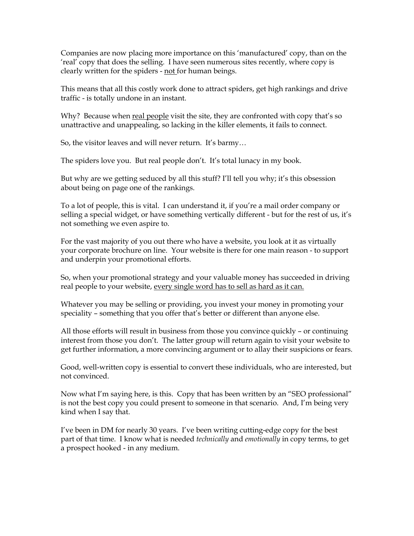Companies are now placing more importance on this 'manufactured' copy, than on the 'real' copy that does the selling. I have seen numerous sites recently, where copy is clearly written for the spiders - not for human beings.

This means that all this costly work done to attract spiders, get high rankings and drive traffic - is totally undone in an instant.

Why? Because when real people visit the site, they are confronted with copy that's so unattractive and unappealing, so lacking in the killer elements, it fails to connect.

So, the visitor leaves and will never return. It's barmy…

The spiders love you. But real people don't. It's total lunacy in my book.

But why are we getting seduced by all this stuff? I'll tell you why; it's this obsession about being on page one of the rankings.

To a lot of people, this is vital. I can understand it, if you're a mail order company or selling a special widget, or have something vertically different - but for the rest of us, it's not something we even aspire to.

For the vast majority of you out there who have a website, you look at it as virtually your corporate brochure on line. Your website is there for one main reason - to support and underpin your promotional efforts.

So, when your promotional strategy and your valuable money has succeeded in driving real people to your website, every single word has to sell as hard as it can.

Whatever you may be selling or providing, you invest your money in promoting your speciality – something that you offer that's better or different than anyone else.

All those efforts will result in business from those you convince quickly – or continuing interest from those you don't. The latter group will return again to visit your website to get further information, a more convincing argument or to allay their suspicions or fears.

Good, well-written copy is essential to convert these individuals, who are interested, but not convinced.

Now what I'm saying here, is this. Copy that has been written by an "SEO professional" is not the best copy you could present to someone in that scenario. And, I'm being very kind when I say that.

I've been in DM for nearly 30 years. I've been writing cutting-edge copy for the best part of that time. I know what is needed *technically* and *emotionally* in copy terms, to get a prospect hooked - in any medium.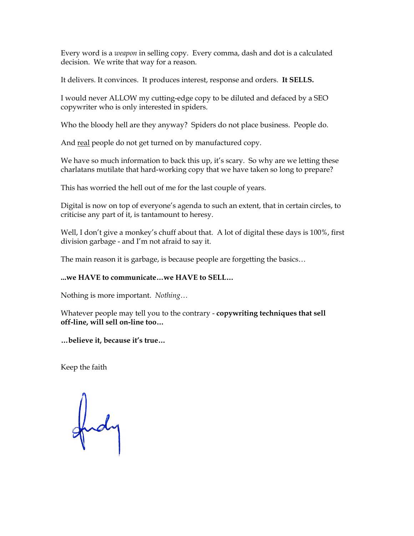Every word is a *weapon* in selling copy. Every comma, dash and dot is a calculated decision. We write that way for a reason.

It delivers. It convinces. It produces interest, response and orders. **It SELLS.**

I would never ALLOW my cutting-edge copy to be diluted and defaced by a SEO copywriter who is only interested in spiders.

Who the bloody hell are they anyway? Spiders do not place business. People do.

And real people do not get turned on by manufactured copy.

We have so much information to back this up, it's scary. So why are we letting these charlatans mutilate that hard-working copy that we have taken so long to prepare?

This has worried the hell out of me for the last couple of years.

Digital is now on top of everyone's agenda to such an extent, that in certain circles, to criticise any part of it, is tantamount to heresy.

Well, I don't give a monkey's chuff about that. A lot of digital these days is 100%, first division garbage - and I'm not afraid to say it.

The main reason it is garbage, is because people are forgetting the basics…

# **...we HAVE to communicate…we HAVE to SELL…**

Nothing is more important. *Nothing…*

Whatever people may tell you to the contrary - **copywriting techniques that sell off-line, will sell on-line too…**

**…believe it, because it's true…**

Keep the faith

gudy